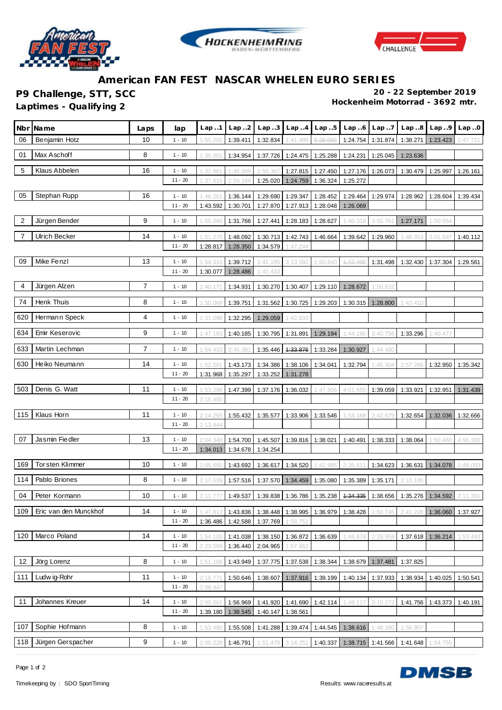





## **American FAN FEST NASCAR WHELEN EURO SERIES**

**Laptimes - Qualifying 2** 

**P9 Challenge, STT, SCC 20 - 22 September 2019**

| Nbr            | Name                  | Laps | lap       | Lap.1    | Lap.2    | Lap.3    | Lap.4    | Lap.5                      | Lap.6                                                                                     | Lap.7             | Lap.8                      | Lap.9             | Lap.0    |
|----------------|-----------------------|------|-----------|----------|----------|----------|----------|----------------------------|-------------------------------------------------------------------------------------------|-------------------|----------------------------|-------------------|----------|
| 06             | Benjamin Hotz         | 10   | $1 - 10$  | 1:50.205 | 1:39.411 | 1:32.834 | 1:41.489 | 5:38.065                   | 1:24.754                                                                                  | 1:31.874          | 1:38.271                   | 1:23.423          | 1:47.721 |
| 01             | Max Aschoff           | 8    | $1 - 10$  | 1:35.001 | 1:34.954 | 1:37.726 |          | 1:24.475 1:25.288          | 1:24.231                                                                                  | 1:25.045          | 1:23.636                   |                   |          |
| 5              | Klaus Abbelen         | 16   | $1 - 10$  | 1:32.961 | 1:46.009 | 1:50.367 | 1:27.815 | 1:27.450                   | 1:27.176                                                                                  | 1:26.073          | 1:30.479                   | 1:25.997          | 1:26.161 |
|                |                       |      | $11 - 20$ | 1:37.615 | 2:50.169 | 1:25.020 | 1:24.759 | 1:36.324                   | 1:25.272                                                                                  |                   |                            |                   |          |
| 05             | Stephan Rupp          | 16   | $1 - 10$  | 1:46.261 | 1:36.144 | 1:29.690 | 1:29.347 | 1:28.452                   | 1:29.464                                                                                  | 1:29.974          | 1:28.962                   | 1:28.604          | 1:39.434 |
|                |                       |      | $11 - 20$ | 1:43.592 | 1:30.701 | 1:27.870 | 1:27.913 | 1:28.048                   | 1:26.069                                                                                  |                   |                            |                   |          |
| $\overline{2}$ | Jürgen Bender         | 9    | $1 - 10$  | 1:55.080 | 1:31.766 | 1:27.441 |          | 1:28.183 1:28.627          | 1:40.318                                                                                  | 3:55.76           | 1:27.171                   | 1:50.554          |          |
| 7              | <b>Ulrich Becker</b>  | 14   | $1 - 10$  | 1:51.275 | 1:48.092 | 1:30.713 |          | 1:42.743 1:46.664          | 1:39.642                                                                                  | 1:29.960          | 1:48.953                   | 3:01.597          | 1:40.112 |
|                |                       |      | $11 - 20$ | 1:28.817 | 1:28.350 | 1:34.579 | 1:47.244 |                            |                                                                                           |                   |                            |                   |          |
| 09             | Mike Fenzl            | 13   | $1 - 10$  | 1:54.515 | 1:39.712 | 1:41.195 | 3:13.582 | 1:50.840                   | 4:42.405                                                                                  | 1:31.498          | 1:32.430                   | 1:37.304          | 1:29.561 |
|                |                       |      | $11 - 20$ | 1:30.077 | 1:28.486 | 1:41.433 |          |                            |                                                                                           |                   |                            |                   |          |
| 4              | Jürgen Alzen          | 7    | $1 - 10$  | 1:40.17' | 1:34.931 | 1:30.270 |          | 1:30.407 1:29.110          | 1:28.672                                                                                  | 1:50.632          |                            |                   |          |
| 74             | Henk Thuis            | 8    | $1 - 10$  | 1:50.069 | 1:39.751 | 1:31.562 | 1:30.725 | 1:29.203                   | 1:30.315                                                                                  | 1:28.800          | 1:43.410                   |                   |          |
| 620            | Hermann Speck         | 4    | $1 - 10$  | 1:31.098 | 1:32.295 | 1:29.059 | 1:42.633 |                            |                                                                                           |                   |                            |                   |          |
| 634            | Emir Keserovic        | 9    | $1 - 10$  | 1:47.183 | 1:40.185 | 1:30.795 | 1:31.891 | 1:29.194                   | 1:44.190                                                                                  | 3:40.756          | 1:33.296                   | 1:40.477          |          |
| 633            | Martin Lechman        | 7    | $1 - 10$  | 1:54.433 | 3:45.381 | 1:35.446 | 4:33.876 | 1:33.284                   | 1:30.927                                                                                  | 1:44.480          |                            |                   |          |
| 630            | Heiko Neumann         | 14   | $1 - 10$  | 1:52.58  | 1:43.173 | 1:34.386 |          | 1:38.106 1:34.041          | 1:32.794                                                                                  | 1:45.304          | 2:57.266                   | 1:32.950          | 1:35.342 |
|                |                       |      | $11 - 20$ | 1:31.968 | 1:35.297 | 1:33.252 | 1:31.278 |                            |                                                                                           |                   |                            |                   |          |
| 503            | Denis G. Watt         | 11   | $1 - 10$  | 1:53.298 | 1:47.399 | 1:37.176 | 1:36.032 | 1:47.506                   | 4:01.655                                                                                  | 1:39.059          | 1:33.921                   | 1:32.951          | 1:31.439 |
|                |                       |      | $11 - 20$ | 2:15.450 |          |          |          |                            |                                                                                           |                   |                            |                   |          |
| 115            | Klaus Horn            | 11   | $1 - 10$  | 2:14.265 | 1:55.432 | 1:35.577 |          | 1:33.906 1:33.546          | 1:54.168                                                                                  | 2:42.679          | 1:32.654                   | 1:32.036          | 1:32.666 |
|                |                       |      | $11 - 20$ | 2:13.444 |          |          |          |                            |                                                                                           |                   |                            |                   |          |
| 07             | Jasmin Fiedler        | 13   | $1 - 10$  | 2:04.348 | 1:54.700 | 1:45.507 |          | 1:39.816 1:38.021          | 1:40.491                                                                                  | 1:38.333          | 1:38.064                   | 1:50.460          | 4:56.383 |
|                |                       |      | $11 - 20$ | 1:34.013 | 1:34.678 | 1:34.254 |          |                            |                                                                                           |                   |                            |                   |          |
| 169            | Tor sten Klimmer      | 10   | $1 - 10$  | 2:05.650 | 1:43.692 | 1:36.617 | 1:34.520 | 1:42.985                   | 2:35.61'                                                                                  | 1:34.623          | 1:36.631                   | 1:34.078          | 1:49.093 |
| 114            | Pablo Briones         | 8    | $1 - 10$  | 2:17.039 | 1:57.516 | 1:37.570 |          | 1:34.459 1:35.080          | 1:35.389                                                                                  | 1:35.171          | 2:10.185                   |                   |          |
| 04             | Peter Kormann         | 10   | $1 - 10$  |          |          |          |          |                            | 2:11.777 1:49.537 1:39.838 1:36.786 1:35.238 1:34.335 1:38.656 1:35.276 1:34.592 2:11.301 |                   |                            |                   |          |
| 109            | Eric van den Munckhof | 14   | $1 - 10$  | 1:47.81  | 1:43.836 |          |          | 1:38.448 1:38.995 1:36.979 | 1:38.428                                                                                  | 1:50.745          | 2:41.22                    | 1:36.060          | 1:37.927 |
|                |                       |      | $11 - 20$ | 1:36.486 | 1:42.588 | 1:37.769 | 1:58.751 |                            |                                                                                           |                   |                            |                   |          |
| 120            | Marco Poland          | 14   | $1 - 10$  | 1:54.100 | 1:41.038 | 1:38.150 |          | 1:36.872 1:36.639          | 1:44.674                                                                                  | 2:28.959          |                            | 1:37.618 1:36.214 | 1:53.443 |
|                |                       |      | $11 - 20$ | 2:23.569 | 1:36.440 | 2:04.965 | 1:57.862 |                            |                                                                                           |                   |                            |                   |          |
| 12             | Jörg Lorenz           | 8    | $1 - 10$  | 1:51.106 | 1:43.949 |          |          | 1:37.775 1:37.538 1:38.344 |                                                                                           | 1:38.679 1:37.481 | 1:37.825                   |                   |          |
| 111            | Ludw ig-Rohr          | 11   | $1 - 10$  | 2:18.77  | 1:50.646 | 1:38.607 |          |                            | 1:37.916 1:39.199 1:40.134 1:37.933                                                       |                   | 1:38.934                   | 1:40.025          | 1:50.541 |
|                |                       |      | $11 - 20$ | 2:08.447 |          |          |          |                            |                                                                                           |                   |                            |                   |          |
| 11             | Johannes Kreuer       | 14   | $1 - 10$  | 2:00.56' | 1:56.969 |          |          | 1:41.920 1:41.690 1:42.114 | 1:49.117                                                                                  | 3:10.272          | 1:41.756                   | 1:43.373          | 1:40.191 |
|                |                       |      | $11 - 20$ | 1:39.180 | 1:38.545 | 1:40.147 | 1:38.561 |                            |                                                                                           |                   |                            |                   |          |
| 107            | Sophie Hofmann        | 8    | $1 - 10$  | 1:53.480 | 1:55.508 |          |          |                            | 1:41.288   1:39.474   1:44.545   1:38.616                                                 | 1:48.390          | 1:56.907                   |                   |          |
| 118            | Jürgen Gerspacher     | 9    | $1 - 10$  | 2:00.228 | 1:46.791 | 1:51.478 | 3:14.251 | 1:40.337                   |                                                                                           |                   | 1:38.715 1:41.566 1:41.648 | 1:54.755          |          |